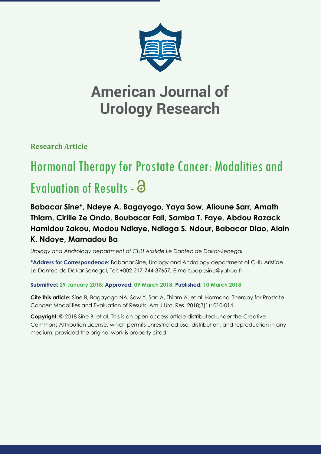

**Research Article**

# Hormonal Therapy for Prostate Cancer: Modalities and Evaluation of Results - a

**Babacar Sine\*, Ndeye A. Bagayogo, Yaya Sow, Alioune Sarr, Amath Thiam, Cirille Ze Ondo, Boubacar Fall, Samba T. Faye, Abdou Razack Hamidou Zakou, Modou Ndiaye, Ndiaga S. Ndour, Babacar Diao, Alain K. Ndoye, Mamadou Ba**

*Urology and Andrology department of CHU Aristide Le Dantec de Dakar-Senegal*

**\*Address for Correspondence:** Babacar Sine, Urology and Andrology department of CHU Aristide Le Dantec de Dakar-Senegal, Tel: +002-217-744-37657, E-mail: papesine@yahoo.fr

**Submitted: 29 January 2018; Approved: 09 March 2018; Published: 10 March 2018**

**Cite this article:** Sine B, Bagayogo NA, Sow Y, Sarr A, Thiam A, et al. Hormonal Therapy for Prostate Cancer: Modalities and Evaluation of Results. Am J Urol Res. 2018;3(1): 010-014.

**Copyright:** © 2018 Sine B, et al. This is an open access article distributed under the Creative Commons Attribution License, which permits unrestricted use, distribution, and reproduction in any medium, provided the original work is properly cited.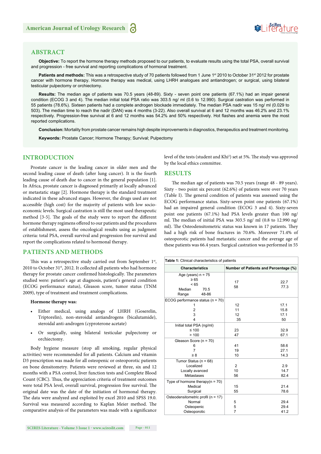## **Soifles** ture

#### **ABSTRACT**

**Objective:** To report the hormone therapy methods proposed to our patients, to evaluate results using the total PSA, overall survival and progression - free survival and reporting complications of hormonal treatment.

Patients and methods: This was a retrospective study of 70 patients followed from 1 June 1<sup>st</sup> 2010 to October 31<sup>st</sup> 2012 for prostate cancer with hormone therapy. Hormone therapy was medical, using LHRH analogues and antiandrogen; or surgical, using bilateral testicular pulpectomy or orchiectomy.

**Results:** The median age of patients was 70.5 years (48-89). Sixty - seven point one patients (67.1%) had an impair general condition (ECOG 3 and 4). The median initial total PSA ratio was 303.5 ng/ ml (0.6 to 12.990). Surgical castration was performed in 55 patients (78.6%). Sixteen patients had a complete androgen blockade immediately. The median PSA nadir was 15 ng/ ml (0.029 to 503). The median time to reach the nadir (DAN) was 4 months (3-22). Also overall survival at 6 and 12 months was 46.2% and 23.1% respectively. Progression-free survival at 6 and 12 months was 54.2% and 50% respectively. Hot flashes and anemia were the most reported complications.

**Conclusion:** Mortality from prostate cancer remains high despite improvements in diagnostics, therapeutics and treatment monitoring.

**Keywords:** Prostate Cancer; Hormone Therapy; Survival; Pulpectomy

#### **INTRODUCTION**

Prostate cancer is the leading cancer in older men and the second leading cause of death (after lung cancer). It is the fourth leading cause of death due to cancer in the general population [1]. In Africa, prostate cancer is diagnosed primarily at locally advanced or metastatic stage [2]. Hormone therapy is the standard treatment indicated in these advanced stages. However, the drugs used are not accessible (high cost) for the majority of patients with low socioeconomic levels. Surgical castration is still the most used therapeutic method [3-5]. The goals of the study were to report the different hormone therapy regimens offered to our patients and the procedures of establishment, assess the oncological results using as judgment criteria: total PSA, overall survival and progression free survival and report the complications related to hormonal therapy.

#### **PATIENTS AND METHODS**

This was a retrospective study carried out from September  $1<sup>st</sup>$ , 2010 to October 31<sup>st</sup>, 2012. It collected all patients who had hormone therapy for prostate cancer confirmed histologically. The parameters studied were: patient's age at diagnosis, patient's general condition (ECOG performance status), Gleason score, tumor status (TNM 2009), type of treatment and treatment complications.

#### **Hormone therapy was:**

- Either medical, using analogs of LHRH (Goserelin, Triptorelin), non-steroidal antiandrogens (bicalutamide), steroidal anti-androgen (cyproterone acetate)
- Or surgically, using bilateral testicular pulpectomy or orchiectomy.

Body hygiene measure (stop all smoking, regular physical activities) were recommended for all patients. Calcium and vitamin D3 prescription was made for all osteopenic or osteoporotic patients on bone densitometry. Patients were reviewed at three, six and 12 months with a PSA control, liver function tests and Complete Blood Count (CBC). Thus, the appreciation criteria of treatment outcomes were total PSA level, overall survival, progression free survival. The original date was the date of the initiation of hormonal therapy. The data were analyzed and exploited by excel 2010 and SPSS 19.0. Survival was measured according to Kaplan Meier method. The comparative analysis of the parameters was made with a significance

level of the tests (student and Khi<sup>2</sup>) set at 5%. The study was approved by the local ethics committee.

#### **RESULTS**

The median age of patients was 70.5 years (range 48 - 89 years). Sixty - two point six percent (62.6%) of patients were over 70 years (Table I). The general condition of patients was assessed using the ECOG performance status. Sixty-seven point one patients (67.1%) had an impaired general condition (ECOG 3 and 4). Sixty-seven point one patients (67.1%) had PSA levels greater than 100 ng/ ml. The median of initial PSA was 303.5 ng/ ml  $(0.8 \text{ to } 12.990 \text{ ng/}$ ml). The Osteodensitometric status was known in 17 patients. They had a high risk of bone fractures in 70.6%. Moreover 71.4% of osteoporotic patients had metastatic cancer and the average age of these patients was 66.4 years. Surgical castration was performed in 55

| Table 1: Clinical characteristics of patients |                                              |      |  |
|-----------------------------------------------|----------------------------------------------|------|--|
| <b>Characteristics</b>                        | <b>Number of Patients and Percentage (%)</b> |      |  |
| Age (years) $n = 75$<br>$\geq 65$<br>< 65     | 17                                           | 22.7 |  |
| Median<br>70.5<br>48-86<br>Range              | 58                                           | 77.3 |  |
| ECOG performance status $(n = 70)$            |                                              |      |  |
| 1                                             | 12                                           | 17.1 |  |
| 2                                             | 11                                           | 15.8 |  |
| 3                                             | 12                                           | 17.1 |  |
| 4                                             | 35                                           | 50   |  |
| Initial total PSA (ng/ml)                     |                                              |      |  |
| $≤ 100$                                       | 23                                           | 32.9 |  |
| >100                                          | 47                                           | 67.1 |  |
| Gleason Score (n = 70)                        |                                              |      |  |
| 6                                             | 41                                           | 58.6 |  |
| 7                                             | 19                                           | 27.1 |  |
| $\geq 8$                                      | 10                                           | 14.3 |  |
| Tumor Status ( $n = 68$ )                     |                                              |      |  |
| Localized                                     | $\overline{2}$                               | 2.9  |  |
| Locally avanced                               | 10                                           | 14.7 |  |
| Métastases                                    | 56                                           | 82.4 |  |
| Type of hormone therapy $(n = 70)$            |                                              |      |  |
| Medical                                       | 15                                           | 21.4 |  |
| Surgical                                      | 55                                           | 78.6 |  |
| Osteodensitometric profil (n = 17)            |                                              |      |  |
| Normal                                        | 5                                            | 29.4 |  |
| Osteopenic                                    | 5                                            | 29.4 |  |
| Osteoporotic                                  | 7                                            | 41.2 |  |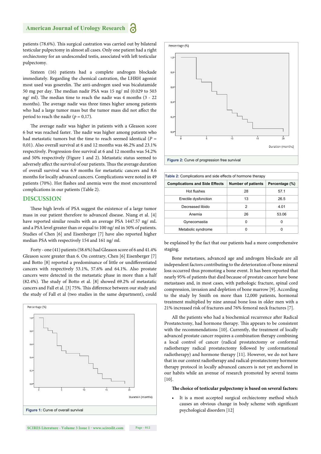patients (78.6%). This surgical castration was carried out by bilateral testicular pulpectomy in almost all cases. Only one patient had a right orchiectomy for an undescended testis, associated with left testicular pulpectomy.

Sixteen (16) patients had a complete androgen blockade immediately. Regarding the chemical castration, the LHRH agonist most used was goserelin. The anti-androgen used was bicalutamide 50 mg per day. The median nadir PSA was 15 ng/ ml (0.029 to 503 ng/ ml). The median time to reach the nadir was 4 months (3 - 22 months). The average nadir was three times higher among patients who had a large tumor mass but the tumor mass did not affect the period to reach the nadir ( $p = 0.17$ ).

The average nadir was higher in patients with a Gleason score 6 but was reached faster. The nadir was higher among patients who had metastatic tumors but the time to reach seemed identical  $(P =$ 0,01). Also overall survival at 6 and 12 months was 46.2% and 23.1% respectively. Progression-free survival at 6 and 12 months was 54.2% and 50% respectively (Figure 1 and 2). Metastatic status seemed to adversely affect the survival of our patients. Thus the average duration of overall survival was 6.9 months for metastatic cancers and 8.6 months for locally advanced cancers. Complications were noted in 49 patients (70%). Hot flashes and anemia were the most encountered complications in our patients (Table 2).

#### **DISCUSSION**

These high levels of PSA suggest the existence of a large tumor mass in our patient therefore to advanced disease. Niang et al. [4] have reported similar results with an average PSA 1447.57 ng/ mL and a PSA level greater than or equal to 100 ng/ ml in 50% of patients. Studies of Chen [6] and Eisenberger [7] have also reported higher median PSA with respectively 154 and 161 ng/ ml.

Forty - one (41) patients (58.6%) had Gleason score of 6 and 41.4% Gleason score greater than 6. On contrary, Chen [6] Eisenberger [7] and Botto [8] reported a predominance of little or undifferentiated cancers with respectively 53.1%, 57.6% and 64.1%. Also prostate cancers were detected in the metastatic phase in more than a half  $(82.4\%)$ . The study of Botto et al.  $[8]$  showed 69.2% of metastatic cancers and Fall et al. [3] 75%. This difference between our study and the study of Fall et al (two studies in the same department), could





**Figure 2:** Curve of progression free survival

| Table 2: Complications and side effects of hormone therapy |                           |                |  |
|------------------------------------------------------------|---------------------------|----------------|--|
| <b>Complications and Side Effects</b>                      | <b>Number of patients</b> | Percentage (%) |  |
| Hot flushes                                                | 28                        | 57.1           |  |
| Erectile dysfonction                                       | 13                        | 26.5           |  |
| Decreased libido                                           | 2                         | 4.01           |  |
| Anemia                                                     | 26                        | 53.06          |  |
| Gynecomastia                                               | U                         | U              |  |
| Metabolic syndrome                                         | o                         | o              |  |

be explained by the fact that our patients had a more comprehensive staging.

Bone metastases, advanced age and androgen blockade are all independent factors contributing to the deterioration of bone mineral loss occurred thus promoting a bone event. It has been reported that nearly 95% of patients that died because of prostate cancer have bone metastases and, in most cases, with pathologic fracture, spinal cord compression, invasion and depletion of bone marrow [9]. According to the study by Smith on more than 12,000 patients, hormonal treatment multiplied by nine annual bone loss in older men with a 21% increased risk of fractures and 76% femoral neck fractures [7].

All the patients who had a biochemical recurrence after Radical Prostatectomy, had hormone therapy. This appears to be consistent with the recommendations [10]. Currently, the treatment of locally advanced prostate cancer requires a combination therapy combining a local control of cancer (radical prostatectomy or conformal radiotherapy radical prostatectomy followed by conformational radiotherapy) and hormone therapy [11]. However, we do not have that in our context radiotherapy and radical-prostatectomy hormone therapy protocol in locally advanced cancers is not yet anchored in our habits while an avenue of research promoted by several teams [10].

#### The choice of testicular pulpectomy is based on several factors:

It is a most accepted surgical orchiectomy method which causes an obvious change in body scheme with significant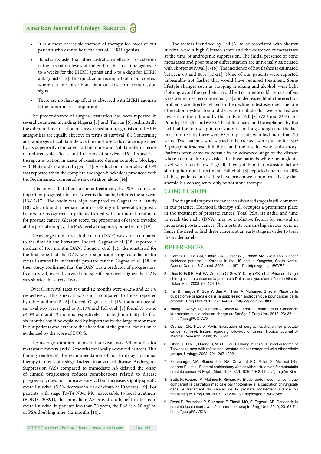- It is a more accessible method of therapy for most of our patients who cannot bear the cost of LHRH agonists
- Its action is faster than other castration methods. Testosterone is the castration levels at the end of the first time against 3 to 4 weeks for the LHRH agonist and 3 to 4 days for LHRH antagonists [12]. This quick action is important in our context where patients have bone pain or slow cord compression signs
- There are no flare-up effect as observed with LHRH agonists if the tumor mass is important.

The predominance of surgical castration has been reported in several countries including Nigeria [5] and Taiwan [6]. Admittedly the different time of action of surgical castration, agonists and LHRH antagonists are equally effective in terms of survival [8]. Concerning anti-androgen, bicalutamide was the most used. Its choice is justified by its superiority compared to Flutamide and Nilutamide, in terms of reduced side effects and in terms of survival [13]. Its use is a therapeutic option in cases of resistance during complete blockage with Flutamide as antiandrogen [13]. A reduction in mortality of 20% was reported when the complete androgen blockade is produced with the Bicalutamide compared with castration alone [14].

It is known that after hormone treatment, the PSA nadir is an important prognostic factor. Lower is the nadir, better is the survival  $[13-15-17]$ . The nadir was high compared to Gagnat et al. study [18] which found a median nadir of 0.48 ng/ ml. Several prognostic factors are recognized in patients treated with hormonal treatment for prostate cancer: Gleason score, the proportion of carrots invaded at the prostate biopsy, the PSA level at diagnosis, bone lesions [19].

The average time to reach the nadir (DAN) was short compared to the time in the literature. Indeed, Gagnat et al. [18] reported a median of 13.1 months DAN. Choueiri et al. [15] demonstrated for the first time that the DAN was a significant prognostic factor for overall survival in metastatic prostate cancer. Gagnat et al. [18] in their study confirmed that the DAN was a predictor of progressionfree survival, overall survival and specific survival: higher the DAN was shorter the survival was.

Overall survival rates at 6 and 12 months were 46.2% and 23.1% respectively. This survival was short compared to those reported by other authors [8-18]. Indeed, Gagnat et al. [18] found an overall survival two years equal to 91.17% and Fall et al. [3] found 77.3 and 64.3% at 6 and 12 months respectively. This high mortality the first six months could be explained by important by the large tumor mass in our patients and extent of the alteration of the general condition as evidenced by the score of ECOG.

The average duration of overall survival was 6.9 months for metastatic cancers and 8.6 months for locally advanced cancers. This finding reinforces the recommendation of not to delay hormonal therapy in metastatic stage. Indeed, in advanced disease, Androgenic Suppression (AS) compared to immediate AS delayed the onset of clinical progression reduces complications related to disease progression, does not improve survival but increases slightly specific overall survival (5.5% decrease in risk of death at 10 years) [19]. For patients with stage T3-T4 N0-1 M0 inaccessible to local treatment (EORTC 30891), the immediate AS provides a benefit in terms of overall survival in patients less than 70 years, the PSA is > 20 ng/ ml or PSA doubling time <12 months [10].

The factors identified by Fall [3] to be associated with shorter survival were a high Gleason score and the existence of metastases at the time of androgenic suppression. The initial presence of bone metastases and poor tumor differentiation are universally associated with shorter survival [8-18]. The incidence of hot flashes is estimated between 60 and 80% [13-21]. None of our patients were reported unbearable hot flashes that would have required treatment. Some lifestyle changes such as stopping smoking and alcohol, wear light clothing, avoid the synthetic, avoid heat or intense cold, reduce coffee, were sometimes recommended [16] and decreased libido the erection problems are directly related to the decline in testosterone. The rate of erection dysfunction and decrease in libido that we reported are lower than those found by the study of Fall [3] (78.6 and 86%) and Potosky [17] (51 and 69%). This difference could be explained by the fact that the follow up in our study is not long enough and the fact that in our study there were 65% of patients who had more than 70 years. Two patients who wished to be treated, were put under type 5 phosphodiesterase inhibitor, and the results were satisfactory. Patients often came to consult in an advanced stage of the disease where anemia already existed. In those patients whose hemoglobin level was often below 7  $g/dl$ , they got blood transfusion before starting hormonal treatment. Fall et al. [3] reported anemia in 20% of these patients, but as they have proven we cannot exactly say that anemia is a consequence only of hormone therapy.

#### **CONCLUSION**

The diagnosis of prostate cancer to advanced stages is still common in our practice. Hormonal therapy still occupies a prominent place in the treatment of prostate cancer. Total PSA, its nadir, and time to reach the nadir (DNA) may be predictive factors for survival in metastatic prostate cancer. The mortality remains high in our regions, hence the need to find these cancers at an early stage in order to treat them adequately.

#### **REFERENCES**

- 1. Gomez SL, Le GM, Clarke CA, Glaser SL, France AM, West DW. Cancer incidence patterns in Koreans in the US and in Kangwha, South Korea. Cancer Causes & Control. 2003; 14: 167-174. https://goo.gl/pP6VR2
- 2. Diao B, Fall B, Fall PA, Ze ondo C, Sow Y, Ndoye AK, et al. Prise en charge chirurgicale du cancer de la prostate à Dakar: analyse d'une série de 96 cas. Dakar Med. 2008; 53: 124-129.
- 3. Fall B, Tengue K, Sow Y, Sarr A, Thiam A, Mohamed S, et al. Place de la pulpectomie bilatérale dans la suppression androgénique pour cancer de la prostate. Prog Urol. 2012; 17: 344-349. https://goo.gl/v5B88F
- 4. Niang L, Ndoye M, Ouattara A, Jalloh M, Labou I, Thiam I, et al. Cancer de la prostate: quelle prise en charge au Sénégal? Prog Urol. 2013; 23: 36-41. https://goo.gl/WQcAZ8
- 5. Oranusi CK, Nwofor AME. Evaluation of surgical castration for prostate cancer at Néwi: Issues regarding follow-up of cases. Tropical Journal of Medical Research. 2008; 12: 38-41.
- 6. Chen C, Tzai T, Huang S, Wu H, Tai H, Chang Y, Pu Y. Clinical outcome of Taiwanese men with métastatic prostate cancer compared with other ethnic groups. Urology. 2008; 72: 1287-1292.
- 7. Eisenberger MA, Blumenstein BA, Crawford ED, Miller G, McLeod DG, Loehrer PJ, et al. Bilateral orchiectomy with or without flutamide for metastatic prostate cancer. N Engl J Med. 1998; 339: 1036-1042. https://goo.gl/rrqBim
- 8. Botto H, Roupret M, Mathieu F, Richard F. Etude randomisée multicentrique comparant la castration médicale par triptoréline à la castration chirurgicale dans le traitement du cancer de la prostate localement avancé ou métastatique. Prog Urol. 2007; 17: 235-239. https://goo.gl/wBQSm9
- 9. Rossi D, Beuzeboc P, Staerman F, Timsit MO, El Fegoun AB. Cancer de la prostate localement avancé et hormonothérapie. Prog Urol. 2010; 20: 68-71. https://goo.gl/AyVtXA